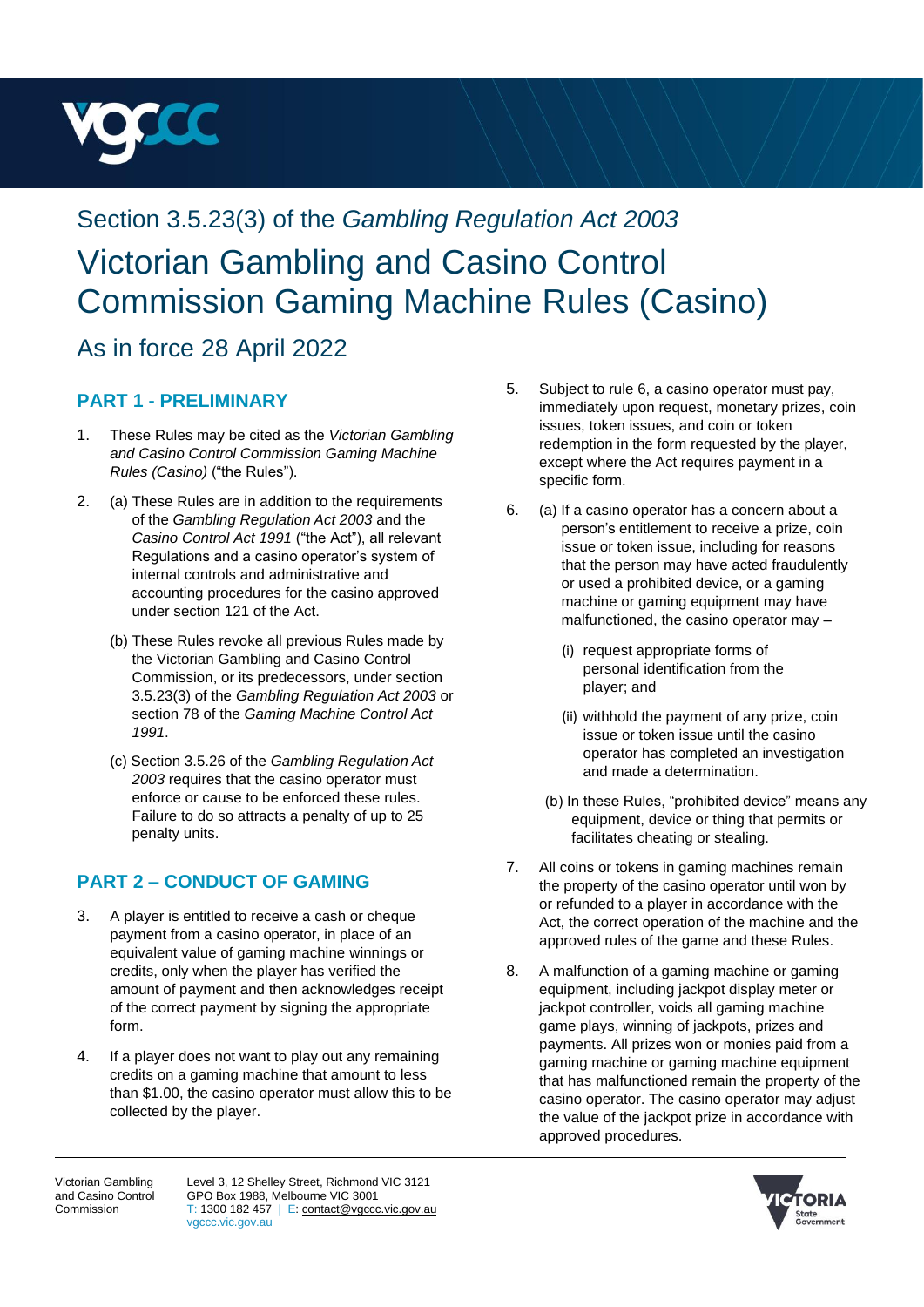

# Section 3.5.23(3) of the *Gambling Regulation Act 2003* Victorian Gambling and Casino Control Commission Gaming Machine Rules (Casino)

# As in force 28 April 2022

#### **PART 1 - PRELIMINARY**

- 1. These Rules may be cited as the *Victorian Gambling and Casino Control Commission Gaming Machine Rules (Casino)* ("the Rules").
- 2. (a) These Rules are in addition to the requirements of the *Gambling Regulation Act 2003* and the *Casino Control Act 1991* ("the Act"), all relevant Regulations and a casino operator's system of internal controls and administrative and accounting procedures for the casino approved under section 121 of the Act.
	- (b) These Rules revoke all previous Rules made by the Victorian Gambling and Casino Control Commission, or its predecessors, under section 3.5.23(3) of the *Gambling Regulation Act 2003* or section 78 of the *Gaming Machine Control Act 1991*.
	- (c) Section 3.5.26 of the *Gambling Regulation Act 2003* requires that the casino operator must enforce or cause to be enforced these rules. Failure to do so attracts a penalty of up to 25 penalty units.

## **PART 2 – CONDUCT OF GAMING**

- 3. A player is entitled to receive a cash or cheque payment from a casino operator, in place of an equivalent value of gaming machine winnings or credits, only when the player has verified the amount of payment and then acknowledges receipt of the correct payment by signing the appropriate form.
- 4. If a player does not want to play out any remaining credits on a gaming machine that amount to less than \$1.00, the casino operator must allow this to be collected by the player.
- 5. Subject to rule 6, a casino operator must pay, immediately upon request, monetary prizes, coin issues, token issues, and coin or token redemption in the form requested by the player, except where the Act requires payment in a specific form.
- 6. (a) If a casino operator has a concern about a person's entitlement to receive a prize, coin issue or token issue, including for reasons that the person may have acted fraudulently or used a prohibited device, or a gaming machine or gaming equipment may have malfunctioned, the casino operator may –
	- (i) request appropriate forms of personal identification from the player; and
	- (ii) withhold the payment of any prize, coin issue or token issue until the casino operator has completed an investigation and made a determination.
	- (b) In these Rules, "prohibited device" means any equipment, device or thing that permits or facilitates cheating or stealing.
- 7. All coins or tokens in gaming machines remain the property of the casino operator until won by or refunded to a player in accordance with the Act, the correct operation of the machine and the approved rules of the game and these Rules.
- 8. A malfunction of a gaming machine or gaming equipment, including jackpot display meter or jackpot controller, voids all gaming machine game plays, winning of jackpots, prizes and payments. All prizes won or monies paid from a gaming machine or gaming machine equipment that has malfunctioned remain the property of the casino operator. The casino operator may adjust the value of the jackpot prize in accordance with approved procedures.

Victorian Gambling and Casino Control Commission

Level 3, 12 Shelley Street, Richmond VIC 3121 GPO Box 1988, Melbourne VIC 3001  $T: 1300 182 457$  | E[: contact@vgccc.vic.gov.au](mailto:contact@vgccc.vic.gov.au) vgccc.vic.gov.au